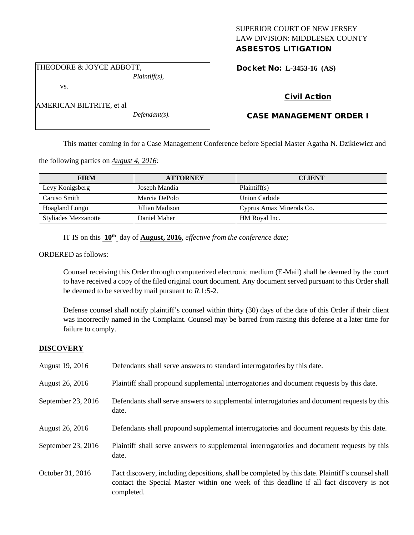## SUPERIOR COURT OF NEW JERSEY LAW DIVISION: MIDDLESEX COUNTY ASBESTOS LITIGATION

THEODORE & JOYCE ABBOTT,

## vs.

AMERICAN BILTRITE, et al

*Defendant(s).*

*Plaintiff(s),*

Docket No: **L-3453-16 (AS)** 

# Civil Action

# CASE MANAGEMENT ORDER I

This matter coming in for a Case Management Conference before Special Master Agatha N. Dzikiewicz and

the following parties on *August 4, 2016:*

| <b>FIRM</b>                 | <b>ATTORNEY</b> | <b>CLIENT</b>            |
|-----------------------------|-----------------|--------------------------|
| Levy Konigsberg             | Joseph Mandia   | Plaintiff(s)             |
| Caruso Smith                | Marcia DePolo   | Union Carbide            |
| Hoagland Longo              | Jillian Madison | Cyprus Amax Minerals Co. |
| <b>Styliades Mezzanotte</b> | Daniel Maher    | HM Royal Inc.            |

IT IS on this **10th** day of **August, 2016**, *effective from the conference date;*

ORDERED as follows:

Counsel receiving this Order through computerized electronic medium (E-Mail) shall be deemed by the court to have received a copy of the filed original court document. Any document served pursuant to this Order shall be deemed to be served by mail pursuant to *R*.1:5-2.

Defense counsel shall notify plaintiff's counsel within thirty (30) days of the date of this Order if their client was incorrectly named in the Complaint. Counsel may be barred from raising this defense at a later time for failure to comply.

## **DISCOVERY**

| August 19, 2016    | Defendants shall serve answers to standard interrogatories by this date.                                                                                                                                    |
|--------------------|-------------------------------------------------------------------------------------------------------------------------------------------------------------------------------------------------------------|
| August 26, 2016    | Plaintiff shall propound supplemental interrogatories and document requests by this date.                                                                                                                   |
| September 23, 2016 | Defendants shall serve answers to supplemental interrogatories and document requests by this<br>date.                                                                                                       |
| August 26, 2016    | Defendants shall propound supplemental interrogatories and document requests by this date.                                                                                                                  |
| September 23, 2016 | Plaintiff shall serve answers to supplemental interrogatories and document requests by this<br>date.                                                                                                        |
| October 31, 2016   | Fact discovery, including depositions, shall be completed by this date. Plaintiff's counsel shall<br>contact the Special Master within one week of this deadline if all fact discovery is not<br>completed. |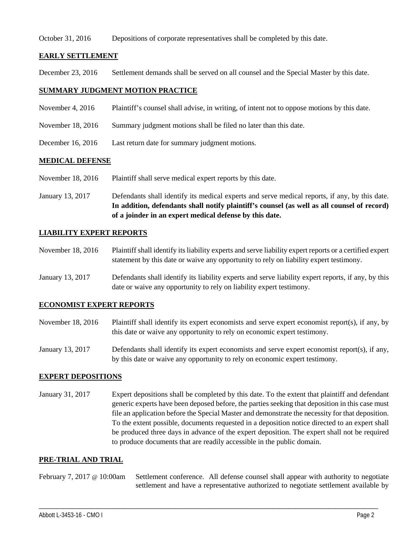#### October 31, 2016 Depositions of corporate representatives shall be completed by this date.

## **EARLY SETTLEMENT**

December 23, 2016 Settlement demands shall be served on all counsel and the Special Master by this date.

#### **SUMMARY JUDGMENT MOTION PRACTICE**

- November 4, 2016 Plaintiff's counsel shall advise, in writing, of intent not to oppose motions by this date.
- November 18, 2016 Summary judgment motions shall be filed no later than this date.
- December 16, 2016 Last return date for summary judgment motions.

## **MEDICAL DEFENSE**

- November 18, 2016 Plaintiff shall serve medical expert reports by this date.
- January 13, 2017 Defendants shall identify its medical experts and serve medical reports, if any, by this date. **In addition, defendants shall notify plaintiff's counsel (as well as all counsel of record) of a joinder in an expert medical defense by this date.**

## **LIABILITY EXPERT REPORTS**

- November 18, 2016 Plaintiff shall identify its liability experts and serve liability expert reports or a certified expert statement by this date or waive any opportunity to rely on liability expert testimony.
- January 13, 2017 Defendants shall identify its liability experts and serve liability expert reports, if any, by this date or waive any opportunity to rely on liability expert testimony.

## **ECONOMIST EXPERT REPORTS**

- November 18, 2016 Plaintiff shall identify its expert economists and serve expert economist report(s), if any, by this date or waive any opportunity to rely on economic expert testimony.
- January 13, 2017 Defendants shall identify its expert economists and serve expert economist report(s), if any, by this date or waive any opportunity to rely on economic expert testimony.

#### **EXPERT DEPOSITIONS**

January 31, 2017 Expert depositions shall be completed by this date. To the extent that plaintiff and defendant generic experts have been deposed before, the parties seeking that deposition in this case must file an application before the Special Master and demonstrate the necessity for that deposition. To the extent possible, documents requested in a deposition notice directed to an expert shall be produced three days in advance of the expert deposition. The expert shall not be required to produce documents that are readily accessible in the public domain.

#### **PRE-TRIAL AND TRIAL**

February 7, 2017 @ 10:00am Settlement conference. All defense counsel shall appear with authority to negotiate settlement and have a representative authorized to negotiate settlement available by

\_\_\_\_\_\_\_\_\_\_\_\_\_\_\_\_\_\_\_\_\_\_\_\_\_\_\_\_\_\_\_\_\_\_\_\_\_\_\_\_\_\_\_\_\_\_\_\_\_\_\_\_\_\_\_\_\_\_\_\_\_\_\_\_\_\_\_\_\_\_\_\_\_\_\_\_\_\_\_\_\_\_\_\_\_\_\_\_\_\_\_\_\_\_\_\_\_\_\_\_\_\_\_\_\_\_\_\_\_\_